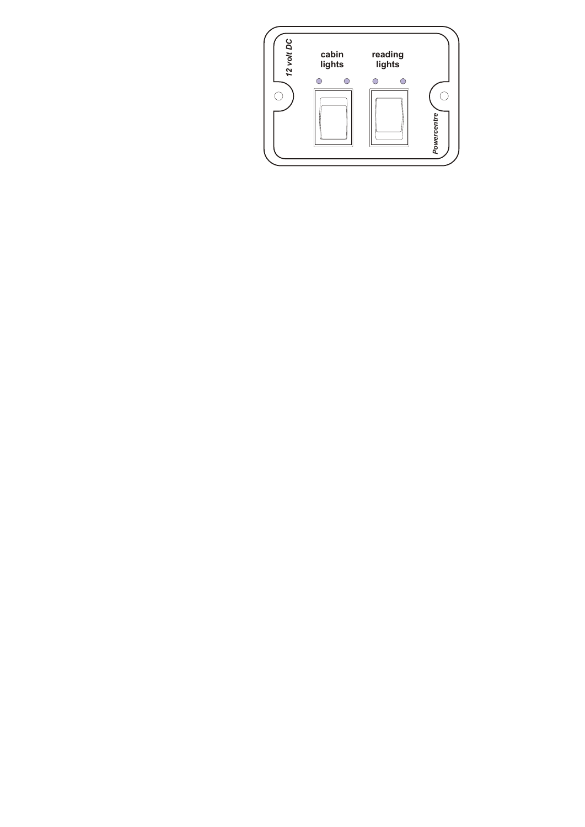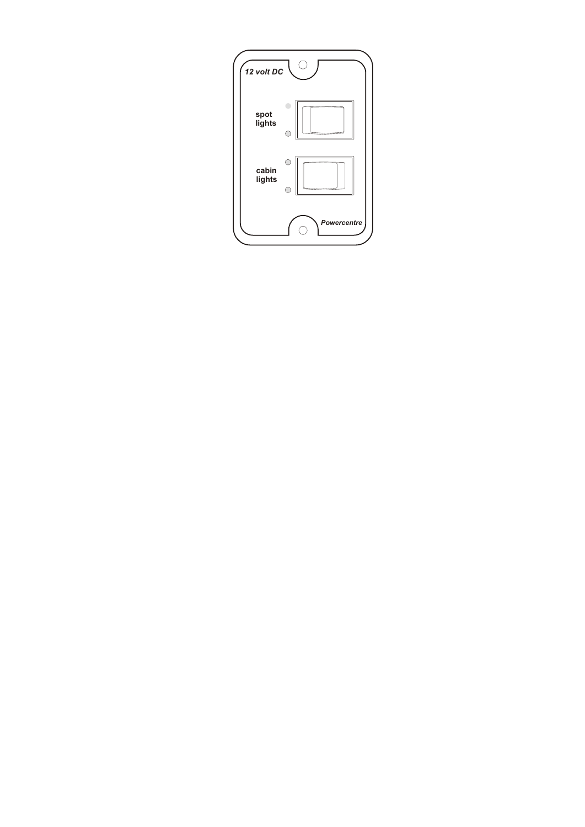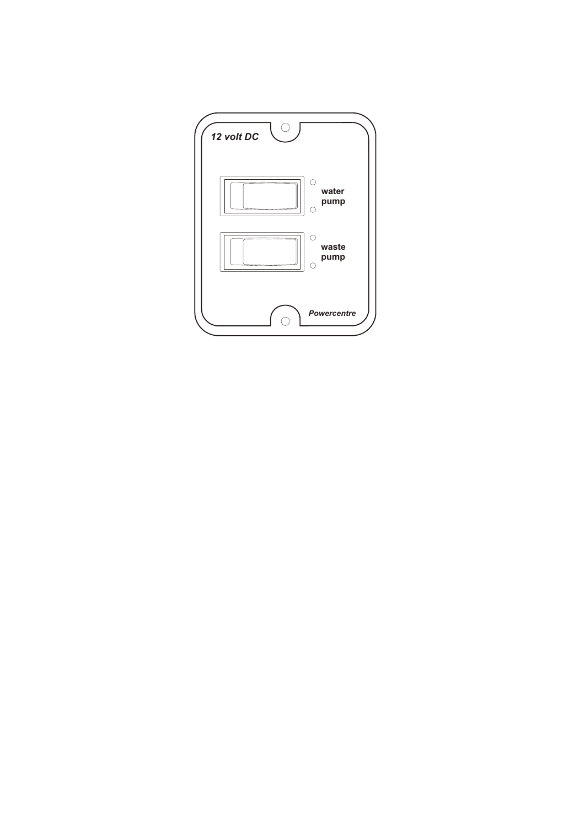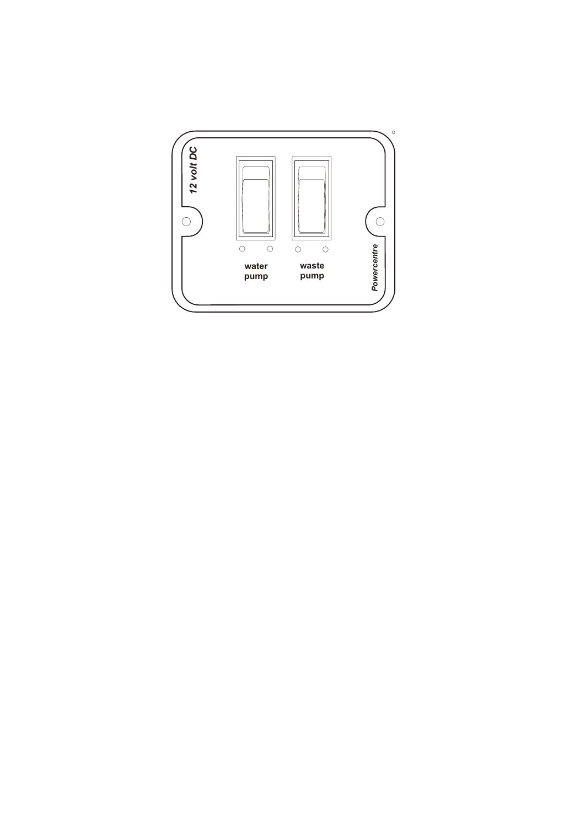